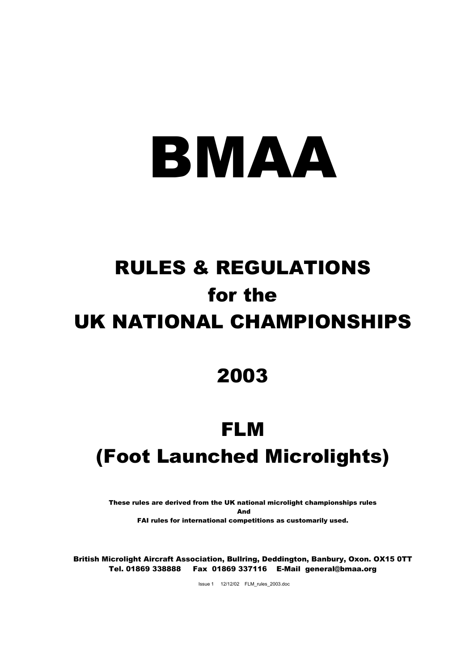# BMAA

# RULES & REGULATIONS for the UK NATIONAL CHAMPIONSHIPS

### 2003

## FLM (Foot Launched Microlights)

These rules are derived from the UK national microlight championships rules And FAI rules for international competitions as customarily used.

British Microlight Aircraft Association, Bullring, Deddington, Banbury, Oxon. OX15 0TT Tel. 01869 338888 Fax 01869 337116 E-Mail general@bmaa.org

Issue 1 12/12/02 FLM\_rules\_2003.doc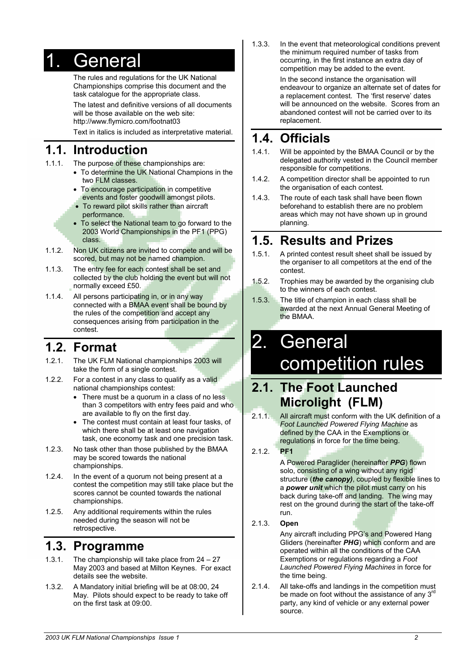### 1. General

The rules and regulations for the UK National Championships comprise this document and the task catalogue for the appropriate class.

The latest and definitive versions of all documents will be those available on the web site: http://www.flymicro.com/footnat03

Text in italics is included as interpretative material.

### **1.1. Introduction**

- 1.1.1. The purpose of these championships are:
	- To determine the UK National Champions in the two FLM classes.
	- To encourage participation in competitive events and foster goodwill amongst pilots.
	- To reward pilot skills rather than aircraft performance.
	- To select the National team to go forward to the 2003 World Championships in the PF1 (PPG) class.
- 1.1.2. Non UK citizens are invited to compete and will be scored, but may not be named champion.
- 1.1.3. The entry fee for each contest shall be set and collected by the club holding the event but will not normally exceed £50.
- 1.1.4. All persons participating in, or in any way connected with a BMAA event shall be bound by the rules of the competition and accept any consequences arising from participation in the contest.

### **1.2. Format**

- 1.2.1. The UK FLM National championships 2003 will take the form of a single contest.
- 1.2.2. For a contest in any class to qualify as a valid national championships contest:
	- There must be a quorum in a class of no less than 3 competitors with entry fees paid and who are available to fly on the first day.
	- The contest must contain at least four tasks, of which there shall be at least one navigation task, one economy task and one precision task.
- 1.2.3. No task other than those published by the BMAA may be scored towards the national championships.
- 1.2.4. In the event of a quorum not being present at a contest the competition may still take place but the scores cannot be counted towards the national championships.
- 1.2.5. Any additional requirements within the rules needed during the season will not be retrospective.

#### **1.3. Programme**

- 1.3.1. The championship will take place from 24 27 May 2003 and based at Milton Keynes. For exact details see the website.
- 1.3.2. A Mandatory initial briefing will be at 08:00, 24 May. Pilots should expect to be ready to take off on the first task at 09:00.

1.3.3. In the event that meteorological conditions prevent the minimum required number of tasks from occurring, in the first instance an extra day of competition may be added to the event.

> In the second instance the organisation will endeavour to organize an alternate set of dates for a replacement contest. The 'first reserve' dates will be announced on the website. Scores from an abandoned contest will not be carried over to its replacement.

### **1.4. Officials**

- 1.4.1. Will be appointed by the BMAA Council or by the delegated authority vested in the Council member responsible for competitions.
- 1.4.2. A competition director shall be appointed to run the organisation of each contest.
- 1.4.3. The route of each task shall have been flown beforehand to establish there are no problem areas which may not have shown up in ground planning.

### **1.5. Results and Prizes**

- 1.5.1. A printed contest result sheet shall be issued by the organiser to all competitors at the end of the contest.
- 1.5.2. Trophies may be awarded by the organising club to the winners of each contest.
- 1.5.3. The title of champion in each class shall be awarded at the next Annual General Meeting of the BMAA.

### 2. General competition rules

### **2.1. The Foot Launched Microlight (FLM)**

2.1.1. All aircraft must conform with the UK definition of a *Foot Launched Powered Flying Machine* as defined by the CAA in the Exemptions or regulations in force for the time being.

#### 2.1.2. **PF1**

A Powered Paraglider (hereinafter *PPG*) flown solo, consisting of a wing without any rigid structure (*the canopy)*, coupled by flexible lines to a *power unit* which the pilot must carry on his back during take-off and landing. The wing may rest on the ground during the start of the take-off run.

#### 2.1.3. **Open**

Any aircraft including PPG's and Powered Hang Gliders (hereinafter *PHG*) which conform and are operated within all the conditions of the CAA Exemptions or regulations regarding a *Foot Launched Powered Flying Machines* in force for the time being.

2.1.4. All take-offs and landings in the competition must be made on foot without the assistance of any  $3^{rd}$ party, any kind of vehicle or any external power source.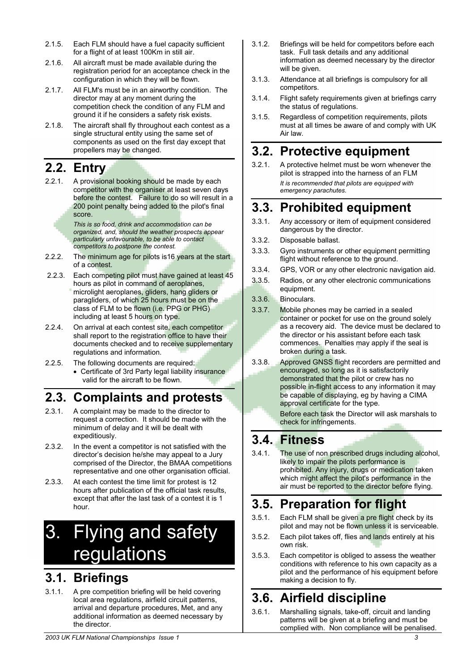- 2.1.5. Each FLM should have a fuel capacity sufficient for a flight of at least 100Km in still air.
- 2.1.6. All aircraft must be made available during the registration period for an acceptance check in the configuration in which they will be flown.
- 2.1.7. All FLM's must be in an airworthy condition. The director may at any moment during the competition check the condition of any FLM and ground it if he considers a safety risk exists.
- 2.1.8. The aircraft shall fly throughout each contest as a single structural entity using the same set of components as used on the first day except that propellers may be changed.

### **2.2. Entry**

2.2.1. A provisional booking should be made by each competitor with the organiser at least seven days before the contest. Failure to do so will result in a 200 point penalty being added to the pilot's final score.

> *This is so food, drink and accommodation can be organized, and, should the weather prospects appear particularly unfavourable, to be able to contact competitors to postpone the contest.*

- 2.2.2. The minimum age for pilots is 16 years at the start of a contest.
- 2.2.3. Each competing pilot must have gained at least 45 hours as pilot in command of aeroplanes, microlight aeroplanes, gliders, hang gliders or paragliders, of which 25 hours must be on the class of FLM to be flown (i.e. PPG or PHG) including at least 5 hours on type.
- 2.2.4. On arrival at each contest site, each competitor shall report to the registration office to have their documents checked and to receive supplementary regulations and information.
- 2.2.5. The following documents are required:
- Certificate of 3rd Party legal liability insurance valid for the aircraft to be flown.

### **2.3. Complaints and protests**

- 2.3.1. A complaint may be made to the director to request a correction. It should be made with the minimum of delay and it will be dealt with expeditiously.
- 2.3.2. In the event a competitor is not satisfied with the director's decision he/she may appeal to a Jury comprised of the Director, the BMAA competitions representative and one other organisation official.
- 2.3.3. At each contest the time limit for protest is 12 hours after publication of the official task results, except that after the last task of a contest it is 1 hour.

### 3. Flying and safety regulations

### **3.1. Briefings**

3.1.1. A pre competition briefing will be held covering local area regulations, airfield circuit patterns, arrival and departure procedures, Met, and any additional information as deemed necessary by the director.

- 3.1.2. Briefings will be held for competitors before each task. Full task details and any additional information as deemed necessary by the director will be given.
- 3.1.3. Attendance at all briefings is compulsory for all competitors.
- 3.1.4. Flight safety requirements given at briefings carry the status of regulations.
- 3.1.5. Regardless of competition requirements, pilots must at all times be aware of and comply with UK Air law.

### **3.2. Protective equipment**

3.2.1. A protective helmet must be worn whenever the pilot is strapped into the harness of an FLM *It is recommended that pilots are equipped with emergency parachutes.* 

### **3.3. Prohibited equipment**

- 3.3.1. Any accessory or item of equipment considered dangerous by the director.
- 3.3.2. Disposable ballast.
- 3.3.3. Gyro instruments or other equipment permitting flight without reference to the ground.
- 3.3.4. GPS, VOR or any other electronic navigation aid.
- 3.3.5. Radios, or any other electronic communications equipment.
- 3.3.6. Binoculars.
- 3.3.7. Mobile phones may be carried in a sealed container or pocket for use on the ground solely as a recovery aid. The device must be declared to the director or his assistant before each task commences. Penalties may apply if the seal is broken during a task.
- 3.3.8. Approved GNSS flight recorders are permitted and encouraged, so long as it is satisfactorily demonstrated that the pilot or crew has no possible in-flight access to any information it may be capable of displaying, eg by having a CIMA approval certificate for the type.

Before each task the Director will ask marshals to check for infringements.

### **3.4. Fitness**

3.4.1. The use of non prescribed drugs including alcohol, likely to impair the pilots performance is prohibited. Any injury, drugs or medication taken which might affect the pilot's performance in the air must be reported to the director before flying.

### **3.5. Preparation for flight**

- 3.5.1. Each FLM shall be given a pre flight check by its pilot and may not be flown unless it is serviceable.
- 3.5.2. Each pilot takes off, flies and lands entirely at his own risk.
- 3.5.3. Each competitor is obliged to assess the weather conditions with reference to his own capacity as a pilot and the performance of his equipment before making a decision to fly.

### **3.6. Airfield discipline**

3.6.1. Marshalling signals, take-off, circuit and landing patterns will be given at a briefing and must be complied with. Non compliance will be penalised.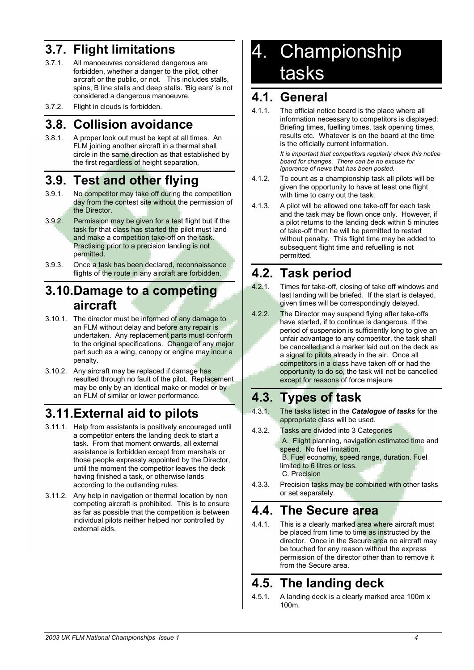### **3.7. Flight limitations**

- 3.7.1. All manoeuvres considered dangerous are forbidden, whether a danger to the pilot, other aircraft or the public, or not. This includes stalls, spins, B line stalls and deep stalls. 'Big ears' is not considered a dangerous manoeuvre.
- 3.7.2. Flight in clouds is forbidden.

### **3.8. Collision avoidance**

3.8.1. A proper look out must be kept at all times. An FLM joining another aircraft in a thermal shall circle in the same direction as that established by the first regardless of height separation.

### **3.9. Test and other flying**

- 3.9.1. No competitor may take off during the competition day from the contest site without the permission of the Director.
- 3.9.2. Permission may be given for a test flight but if the task for that class has started the pilot must land and make a competition take-off on the task. Practising prior to a precision landing is not permitted.
- 3.9.3. Once a task has been declared, reconnaissance flights of the route in any aircraft are forbidden.

### **3.10.Damage to a competing aircraft**

- 3.10.1. The director must be informed of any damage to an FLM without delay and before any repair is undertaken. Any replacement parts must conform to the original specifications. Change of any major part such as a wing, canopy or engine may incur a penalty.
- 3.10.2. Any aircraft may be replaced if damage has resulted through no fault of the pilot. Replacement may be only by an identical make or model or by an FLM of similar or lower performance.

### **3.11.External aid to pilots**

- 3.11.1. Help from assistants is positively encouraged until a competitor enters the landing deck to start a task. From that moment onwards, all external assistance is forbidden except from marshals or those people expressly appointed by the Director, until the moment the competitor leaves the deck having finished a task, or otherwise lands according to the outlanding rules.
- 3.11.2. Any help in navigation or thermal location by non competing aircraft is prohibited. This is to ensure as far as possible that the competition is between individual pilots neither helped nor controlled by external aids.

### 4. Championship tasks

#### **4.1. General**

4.1.1. The official notice board is the place where all information necessary to competitors is displayed: Briefing times, fuelling times, task opening times, results etc. Whatever is on the board at the time is the officially current information.

> *It is important that competitors regularly check this notice board for changes. There can be no excuse for ignorance of news that has been posted.*

- 4.1.2. To count as a championship task all pilots will be given the opportunity to have at least one flight with time to carry out the task.
- 4.1.3. A pilot will be allowed one take-off for each task and the task may be flown once only. However, if a pilot returns to the landing deck within 5 minutes of take-off then he will be permitted to restart without penalty. This flight time may be added to subsequent flight time and refuelling is not permitted.

### **4.2. Task period**

- 4.2.1. Times for take-off, closing of take off windows and last landing will be briefed. If the start is delayed, given times will be correspondingly delayed.
- 4.2.2. The Director may suspend flying after take-offs have started, if to continue is dangerous. If the period of suspension is sufficiently long to give an unfair advantage to any competitor, the task shall be cancelled and a marker laid out on the deck as a signal to pilots already in the air. Once all competitors in a class have taken off or had the opportunity to do so, the task will not be cancelled except for reasons of force majeure

### **4.3. Types of task**

- 4.3.1. The tasks listed in the *Catalogue of tasks* for the appropriate class will be used.
- 4.3.2. Tasks are divided into 3 Categories A. Flight planning, navigation estimated time and speed. No fuel limitation. B. Fuel economy, speed range, duration. Fuel limited to 6 litres or less.

C. Precision

4.3.3. Precision tasks may be combined with other tasks or set separately.

### **4.4. The Secure area**

4.4.1. This is a clearly marked area where aircraft must be placed from time to time as instructed by the director. Once in the Secure area no aircraft may be touched for any reason without the express permission of the director other than to remove it from the Secure area.

### **4.5. The landing deck**

4.5.1. A landing deck is a clearly marked area 100m x 100m.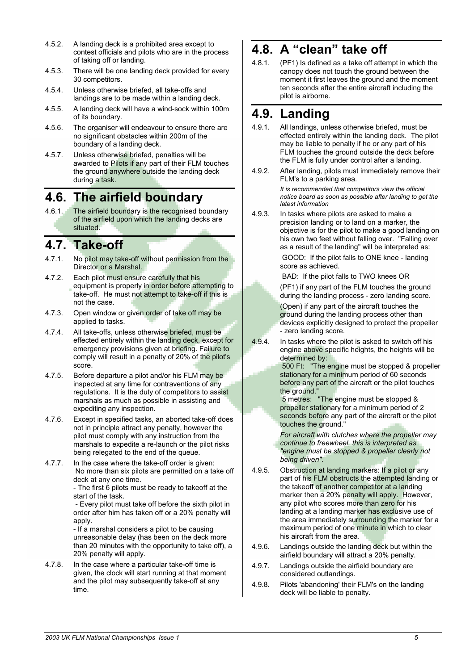- 4.5.2. A landing deck is a prohibited area except to contest officials and pilots who are in the process of taking off or landing.
- 4.5.3. There will be one landing deck provided for every 30 competitors.
- 4.5.4. Unless otherwise briefed, all take-offs and landings are to be made within a landing deck.
- 4.5.5. A landing deck will have a wind-sock within 100m of its boundary.
- 4.5.6. The organiser will endeavour to ensure there are no significant obstacles within 200m of the boundary of a landing deck.
- 4.5.7. Unless otherwise briefed, penalties will be awarded to Pilots if any part of their FLM touches the ground anywhere outside the landing deck during a task.

### **4.6. The airfield boundary**

4.6.1. The airfield boundary is the recognised boundary of the airfield upon which the landing decks are situated.

### **4.7. Take-off**

- 4.7.1. No pilot may take-off without permission from the Director or a Marshal.
- 4.7.2. Each pilot must ensure carefully that his equipment is properly in order before attempting to take-off. He must not attempt to take-off if this is not the case.
- 4.7.3. Open window or given order of take off may be applied to tasks.
- 4.7.4. All take-offs, unless otherwise briefed, must be effected entirely within the landing deck, except for emergency provisions given at briefing. Failure to comply will result in a penalty of 20% of the pilot's score.
- 4.7.5. Before departure a pilot and/or his FLM may be inspected at any time for contraventions of any regulations. It is the duty of competitors to assist marshals as much as possible in assisting and expediting any inspection.
- 4.7.6. Except in specified tasks, an aborted take-off does not in principle attract any penalty, however the pilot must comply with any instruction from the marshals to expedite a re-launch or the pilot risks being relegated to the end of the queue.
- 4.7.7. In the case where the take-off order is given: No more than six pilots are permitted on a take off deck at any one time.

- The first 6 pilots must be ready to takeoff at the start of the task.

 - Every pilot must take off before the sixth pilot in order after him has taken off or a 20% penalty will apply

- If a marshal considers a pilot to be causing unreasonable delay (has been on the deck more than 20 minutes with the opportunity to take off), a 20% penalty will apply.

4.7.8. In the case where a particular take-off time is given, the clock will start running at that moment and the pilot may subsequently take-off at any time.

### **4.8. A "clean" take off**

4.8.1. (PF1) Is defined as a take off attempt in which the canopy does not touch the ground between the moment it first leaves the ground and the moment ten seconds after the entire aircraft including the pilot is airborne.

### **4.9. Landing**

- 4.9.1. All landings, unless otherwise briefed, must be effected entirely within the landing deck. The pilot may be liable to penalty if he or any part of his FLM touches the ground outside the deck before the FLM is fully under control after a landing.
- 4.9.2. After landing, pilots must immediately remove their FLM's to a parking area. *It is recommended that competitors view the official notice board as soon as possible after landing to get the latest information*
- 4.9.3. In tasks where pilots are asked to make a precision landing or to land on a marker, the objective is for the pilot to make a good landing on his own two feet without falling over. "Falling over as a result of the landing" will be interpreted as:

 GOOD: If the pilot falls to ONE knee - landing score as achieved.

BAD: If the pilot falls to TWO knees OR

(PF1) if any part of the FLM touches the ground during the landing process - zero landing score. (Open) if any part of the aircraft touches the ground during the landing process other than devices explicitly designed to protect the propeller - zero landing score.

4.9.4. In tasks where the pilot is asked to switch off his engine above specific heights, the heights will be determined by:

 500 Ft: "The engine must be stopped & propeller stationary for a minimum period of 60 seconds before any part of the aircraft or the pilot touches the ground."

 5 metres: "The engine must be stopped & propeller stationary for a minimum period of 2 seconds before any part of the aircraft or the pilot touches the ground."

*For aircraft with clutches where the propeller may continue to freewheel, this is interpreted as "engine must be stopped & propeller clearly not being driven".* 

- 4.9.5. Obstruction at landing markers: If a pilot or any part of his FLM obstructs the attempted landing or the takeoff of another competitor at a landing marker then a 20% penalty will apply. However, any pilot who scores more than zero for his landing at a landing marker has exclusive use of the area immediately surrounding the marker for a maximum period of one minute in which to clear his aircraft from the area.
- 4.9.6. Landings outside the landing deck but within the airfield boundary will attract a 20% penalty.
- 4.9.7. Landings outside the airfield boundary are considered outlandings.
- 4.9.8. Pilots 'abandoning' their FLM's on the landing deck will be liable to penalty.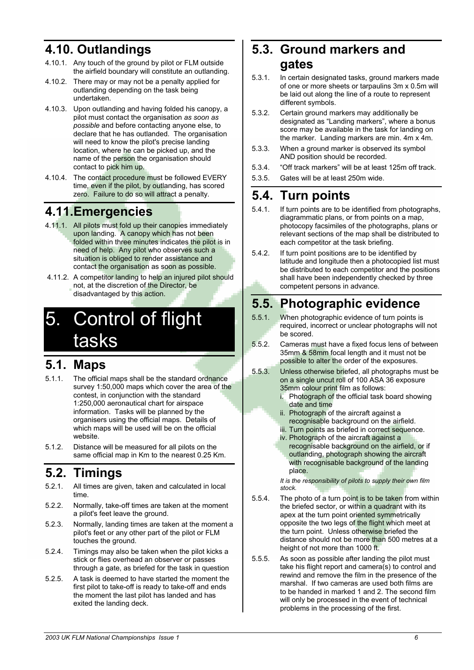### **4.10. Outlandings**

- 4.10.1. Any touch of the ground by pilot or FLM outside the airfield boundary will constitute an outlanding.
- 4.10.2. There may or may not be a penalty applied for outlanding depending on the task being undertaken.
- 4.10.3. Upon outlanding and having folded his canopy, a pilot must contact the organisation *as soon as possible* and before contacting anyone else, to declare that he has outlanded. The organisation will need to know the pilot's precise landing location, where he can be picked up, and the name of the person the organisation should contact to pick him up.
- 4.10.4. The contact procedure must be followed EVERY time, even if the pilot, by outlanding, has scored zero. Failure to do so will attract a penalty.

### **4.11.Emergencies**

- 4.11.1. All pilots must fold up their canopies immediately upon landing. A canopy which has not been folded within three minutes indicates the pilot is in need of help. Any pilot who observes such a situation is obliged to render assistance and contact the organisation as soon as possible.
- 4.11.2. A competitor landing to help an injured pilot should not, at the discretion of the Director, be disadvantaged by this action.

### 5. Control of flight tasks

### **5.1. Maps**

- 5.1.1. The official maps shall be the standard ordnance survey 1:50,000 maps which cover the area of the contest, in conjunction with the standard 1:250,000 aeronautical chart for airspace information. Tasks will be planned by the organisers using the official maps. Details of which maps will be used will be on the official website.
- 5.1.2. Distance will be measured for all pilots on the same official map in Km to the nearest 0.25 Km.

#### **5.2. Timings**

- 5.2.1. All times are given, taken and calculated in local time.
- 5.2.2. Normally, take-off times are taken at the moment a pilot's feet leave the ground.
- 5.2.3. Normally, landing times are taken at the moment a pilot's feet or any other part of the pilot or FLM touches the ground.
- 5.2.4. Timings may also be taken when the pilot kicks a stick or flies overhead an observer or passes through a gate, as briefed for the task in question
- 5.2.5. A task is deemed to have started the moment the first pilot to take-off is ready to take-off and ends the moment the last pilot has landed and has exited the landing deck.

### **5.3. Ground markers and gates**

- 5.3.1. In certain designated tasks, ground markers made of one or more sheets or tarpaulins 3m x 0.5m will be laid out along the line of a route to represent different symbols.
- 5.3.2. Certain ground markers may additionally be designated as "Landing markers", where a bonus score may be available in the task for landing on the marker. Landing markers are min. 4m x 4m.
- 5.3.3. When a ground marker is observed its symbol AND position should be recorded.
- 5.3.4. "Off track markers" will be at least 125m off track.
- 5.3.5. Gates will be at least 250m wide.

### **5.4. Turn points**

- 5.4.1. If turn points are to be identified from photographs, diagrammatic plans, or from points on a map, photocopy facsimiles of the photographs, plans or relevant sections of the map shall be distributed to each competitor at the task briefing.
- 5.4.2. If turn point positions are to be identified by latitude and longitude then a photocopied list must be distributed to each competitor and the positions shall have been independently checked by three competent persons in advance.

### **5.5. Photographic evidence**

- 5.5.1. When photographic evidence of turn points is required, incorrect or unclear photographs will not be scored.
- 5.5.2. Cameras must have a fixed focus lens of between 35mm & 58mm focal length and it must not be possible to alter the order of the exposures.
- 5.5.3. Unless otherwise briefed, all photographs must be on a single uncut roll of 100 ASA 36 exposure 35mm colour print film as follows:
	- i. Photograph of the official task board showing date and time
	- ii. Photograph of the aircraft against a recognisable background on the airfield.
	- iii. Turn points as briefed in correct sequence. iv. Photograph of the aircraft against a
	- recognisable background on the airfield, or if outlanding, photograph showing the aircraft with recognisable background of the landing place.

*It is the responsibility of pilots to supply their own film stock.* 

- 5.5.4. The photo of a turn point is to be taken from within the briefed sector, or within a quadrant with its apex at the turn point oriented symmetrically opposite the two legs of the flight which meet at the turn point. Unless otherwise briefed the distance should not be more than 500 metres at a height of not more than 1000 ft.
- 5.5.5. As soon as possible after landing the pilot must take his flight report and camera(s) to control and rewind and remove the film in the presence of the marshal. If two cameras are used both films are to be handed in marked 1 and 2. The second film will only be processed in the event of technical problems in the processing of the first.